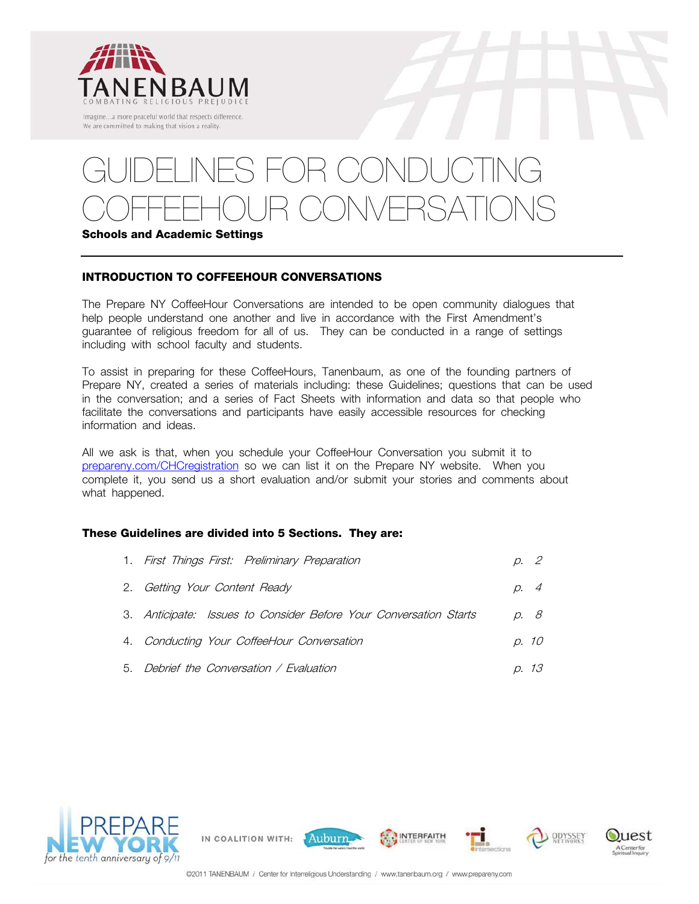

# $O(H \cap H)$ COFFEEHOUR CONVERSATIONS **Schools and Academic Settings**

#### **INTRODUCTION TO COFFEEHOUR CONVERSATIONS**

The Prepare NY CoffeeHour Conversations are intended to be open community dialogues that help people understand one another and live in accordance with the First Amendment's guarantee of religious freedom for all of us. They can be conducted in a range of settings including with school faculty and students.

To assist in preparing for these CoffeeHours, Tanenbaum, as one of the founding partners of Prepare NY, created a series of materials including: these Guidelines; questions that can be used in the conversation; and a series of Fact Sheets with information and data so that people who facilitate the conversations and participants have easily accessible resources for checking information and ideas.

All we ask is that, when you schedule your CoffeeHour Conversation you submit it to prepareny.com/CHCregistration so we can list it on the Prepare NY website. When you complete it, you send us a short evaluation and/or submit your stories and comments about what happened.

#### **These Guidelines are divided into 5 Sections. They are:**

IN COALITION WITH:

| 1. First Things First: Preliminary Preparation                    | p. 2  |
|-------------------------------------------------------------------|-------|
| 2. Getting Your Content Ready                                     | p. 4  |
| 3. Anticipate: Issues to Consider Before Your Conversation Starts | D. 8  |
| 4. Conducting Your CoffeeHour Conversation                        | p. 10 |
| 5. Debrief the Conversation / Evaluation                          | p. 13 |





Auburn

**INTERFAITH** 

ODYSSEY

uest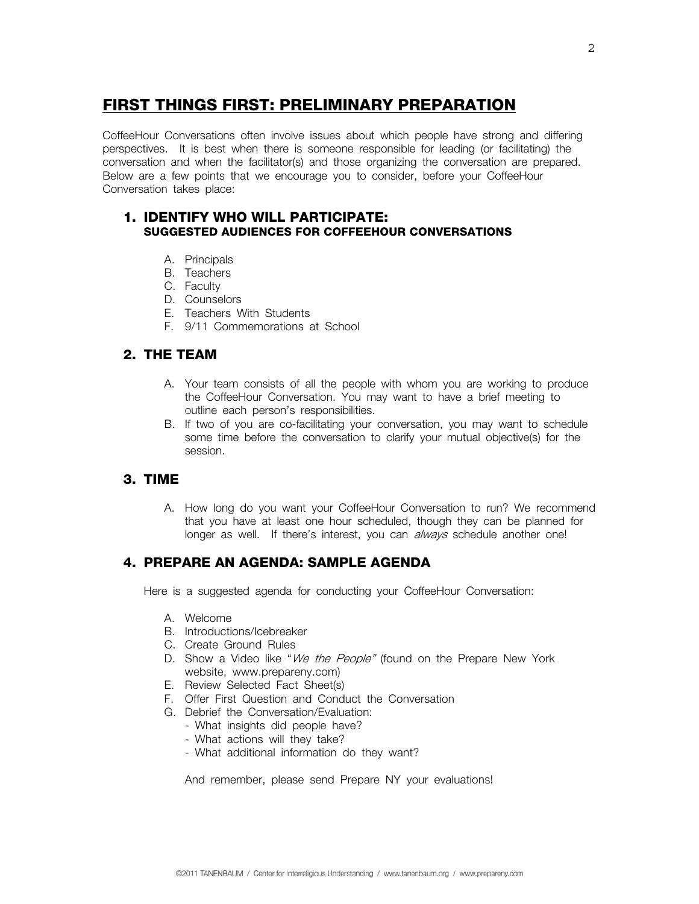# **FIRST THINGS FIRST: PRELIMINARY PREPARATION**

CoffeeHour Conversations often involve issues about which people have strong and differing perspectives. It is best when there is someone responsible for leading (or facilitating) the conversation and when the facilitator(s) and those organizing the conversation are prepared. Below are a few points that we encourage you to consider, before your CoffeeHour Conversation takes place:

### **1. IDENTIFY WHO WILL PARTICIPATE: SUGGESTED AUDIENCES FOR COFFEEHOUR CONVERSATIONS**

- A. Principals
- B. Teachers
- C. Faculty
- D. Counselors
- E. Teachers With Students
- F. 9/11 Commemorations at School

#### **2. THE TEAM**

- A. Your team consists of all the people with whom you are working to produce the CoffeeHour Conversation. You may want to have a brief meeting to outline each person's responsibilities.
- B. If two of you are co-facilitating your conversation, you may want to schedule some time before the conversation to clarify your mutual objective(s) for the session.

#### **3. TIME**

A. How long do you want your CoffeeHour Conversation to run? We recommend that you have at least one hour scheduled, though they can be planned for longer as well. If there's interest, you can *always* schedule another one!

#### **4. PREPARE AN AGENDA: SAMPLE AGENDA**

Here is a suggested agenda for conducting your CoffeeHour Conversation:

- A. Welcome
- B. Introductions/Icebreaker
- C. Create Ground Rules
- D. Show a Video like "We the People" (found on the Prepare New York website, www.prepareny.com)
- E. Review Selected Fact Sheet(s)
- F. Offer First Question and Conduct the Conversation
- G. Debrief the Conversation/Evaluation:
	- What insights did people have?
	- What actions will they take?
	- What additional information do they want?

And remember, please send Prepare NY your evaluations!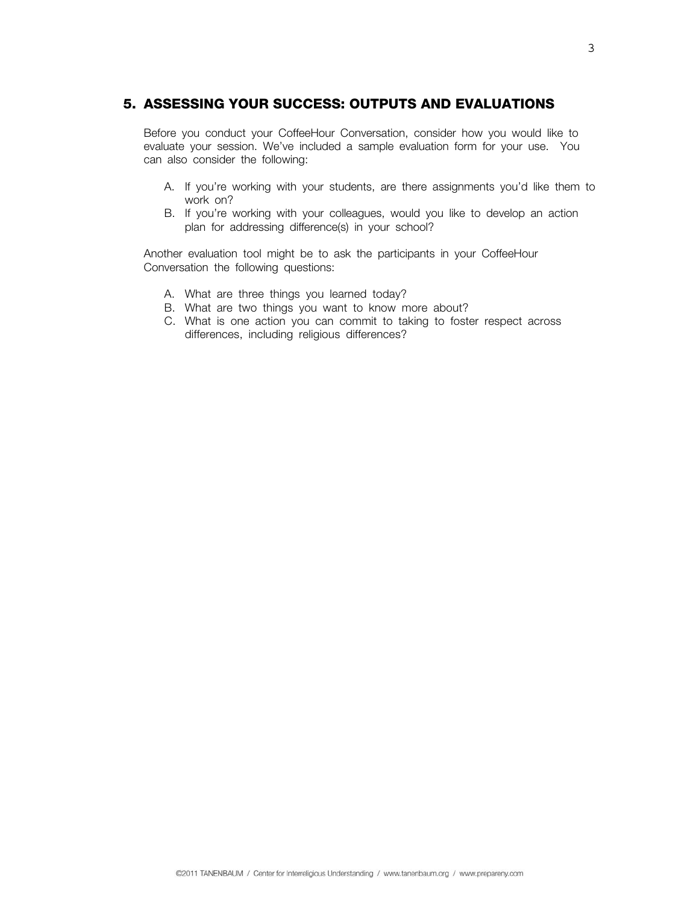#### **5. ASSESSING YOUR SUCCESS: OUTPUTS AND EVALUATIONS**

Before you conduct your CoffeeHour Conversation, consider how you would like to evaluate your session. We've included a sample evaluation form for your use. You can also consider the following:

- A. If you're working with your students, are there assignments you'd like them to work on?
- B. If you're working with your colleagues, would you like to develop an action plan for addressing difference(s) in your school?

Another evaluation tool might be to ask the participants in your CoffeeHour Conversation the following questions:

- A. What are three things you learned today?
- B. What are two things you want to know more about?
- C. What is one action you can commit to taking to foster respect across differences, including religious differences?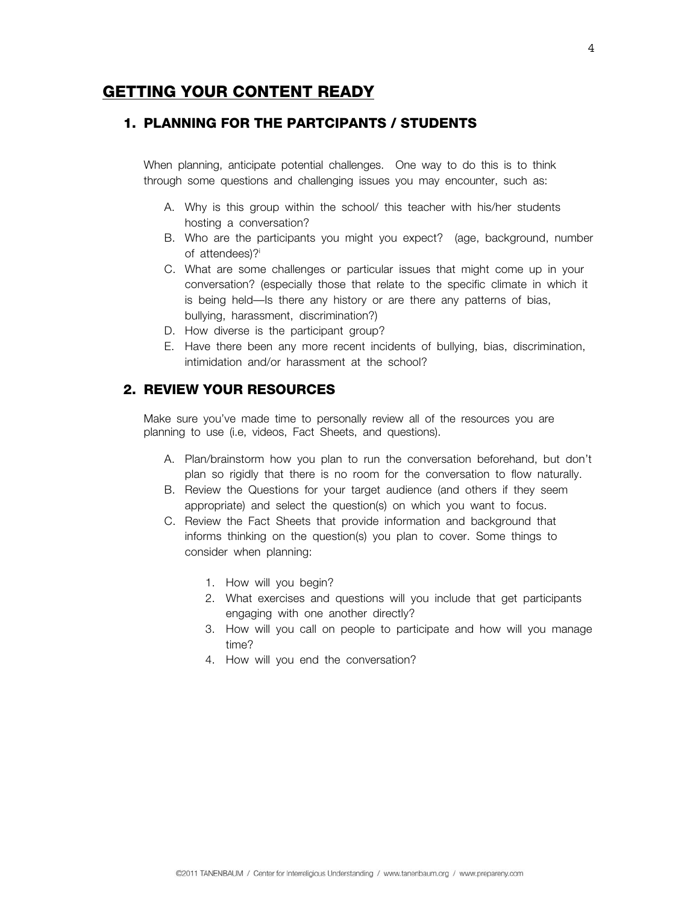### **GETTING YOUR CONTENT READY**

#### **1. PLANNING FOR THE PARTCIPANTS / STUDENTS**

When planning, anticipate potential challenges. One way to do this is to think through some questions and challenging issues you may encounter, such as:

- A. Why is this group within the school/ this teacher with his/her students hosting a conversation?
- B. Who are the participants you might you expect? (age, background, number of attendees)?
- C. What are some challenges or particular issues that might come up in your conversation? (especially those that relate to the specific climate in which it is being held—Is there any history or are there any patterns of bias, bullying, harassment, discrimination?)
- D. How diverse is the participant group?
- E. Have there been any more recent incidents of bullying, bias, discrimination, intimidation and/or harassment at the school?

#### **2. REVIEW YOUR RESOURCES**

Make sure you've made time to personally review all of the resources you are planning to use (i.e, videos, Fact Sheets, and questions).

- A. Plan/brainstorm how you plan to run the conversation beforehand, but don't plan so rigidly that there is no room for the conversation to flow naturally.
- B. Review the Questions for your target audience (and others if they seem appropriate) and select the question(s) on which you want to focus.
- C. Review the Fact Sheets that provide information and background that informs thinking on the question(s) you plan to cover. Some things to consider when planning:
	- 1. How will you begin?
	- 2. What exercises and questions will you include that get participants engaging with one another directly?
	- 3. How will you call on people to participate and how will you manage time?
	- 4. How will you end the conversation?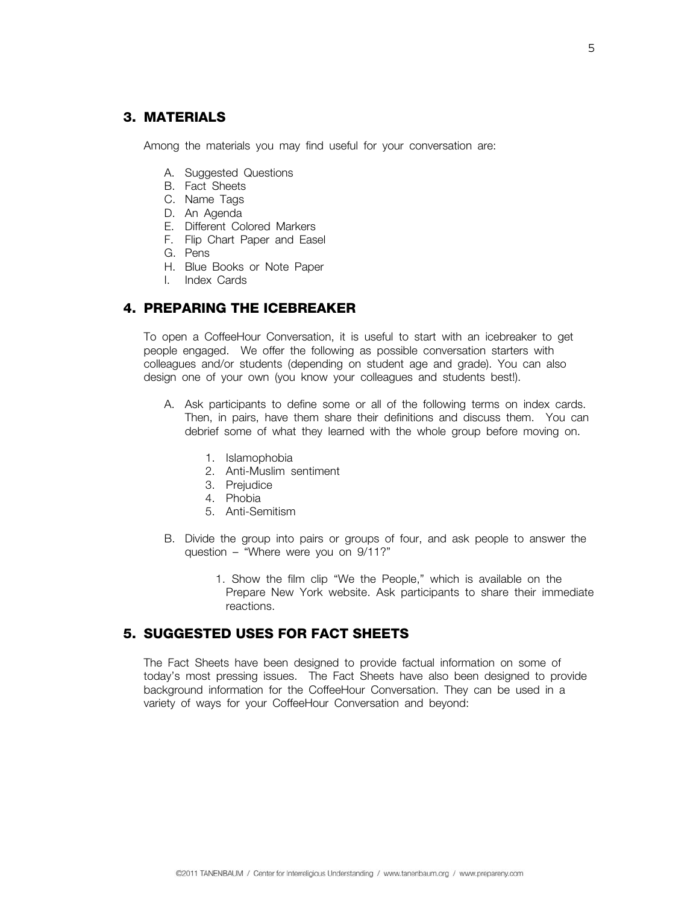#### **3. MATERIALS**

Among the materials you may find useful for your conversation are:

- A. Suggested Questions
- B. Fact Sheets
- C. Name Tags
- D. An Agenda
- E. Different Colored Markers
- F. Flip Chart Paper and Easel
- G. Pens
- H. Blue Books or Note Paper
- I. Index Cards

#### **4. PREPARING THE ICEBREAKER**

To open a CoffeeHour Conversation, it is useful to start with an icebreaker to get people engaged. We offer the following as possible conversation starters with colleagues and/or students (depending on student age and grade). You can also design one of your own (you know your colleagues and students best!).

- A. Ask participants to define some or all of the following terms on index cards. Then, in pairs, have them share their definitions and discuss them. You can debrief some of what they learned with the whole group before moving on.
	- 1. Islamophobia
	- 2. Anti-Muslim sentiment
	- 3. Prejudice
	- 4. Phobia
	- 5. Anti-Semitism
- B. Divide the group into pairs or groups of four, and ask people to answer the question – "Where were you on 9/11?"
	- 1. Show the film clip "We the People," which is available on the Prepare New York website. Ask participants to share their immediate reactions.

#### **5. SUGGESTED USES FOR FACT SHEETS**

The Fact Sheets have been designed to provide factual information on some of today's most pressing issues. The Fact Sheets have also been designed to provide background information for the CoffeeHour Conversation. They can be used in a variety of ways for your CoffeeHour Conversation and beyond: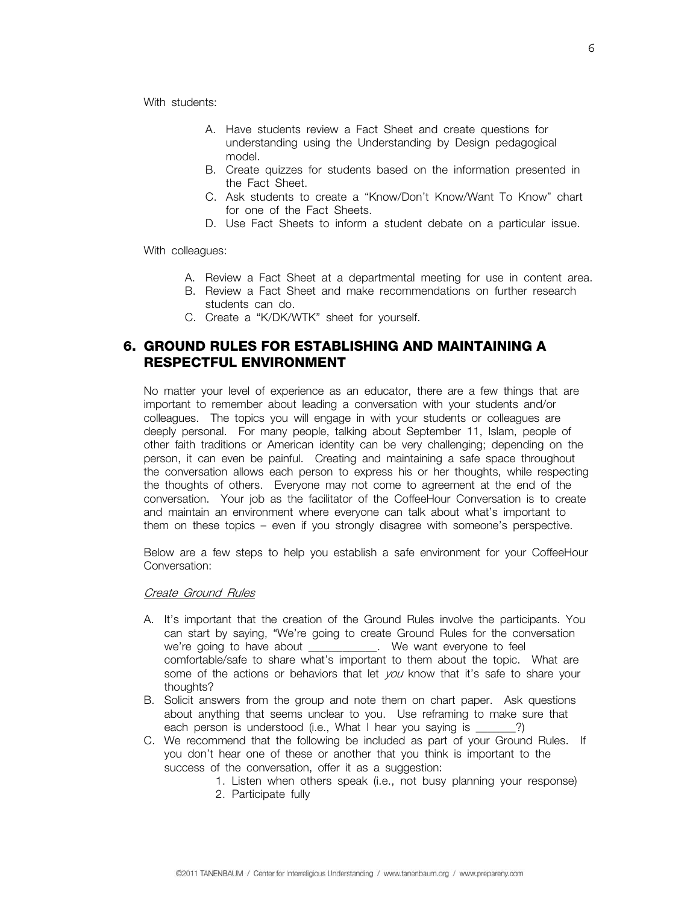With students:

- A. Have students review a Fact Sheet and create questions for understanding using the Understanding by Design pedagogical model.
- B. Create quizzes for students based on the information presented in the Fact Sheet.
- C. Ask students to create a "Know/Don't Know/Want To Know" chart for one of the Fact Sheets.
- D. Use Fact Sheets to inform a student debate on a particular issue.

With colleagues:

- A. Review a Fact Sheet at a departmental meeting for use in content area.
- B. Review a Fact Sheet and make recommendations on further research students can do.
- C. Create a "K/DK/WTK" sheet for yourself.

#### **6. GROUND RULES FOR ESTABLISHING AND MAINTAINING A RESPECTFUL ENVIRONMENT**

No matter your level of experience as an educator, there are a few things that are important to remember about leading a conversation with your students and/or colleagues. The topics you will engage in with your students or colleagues are deeply personal. For many people, talking about September 11, Islam, people of other faith traditions or American identity can be very challenging; depending on the person, it can even be painful. Creating and maintaining a safe space throughout the conversation allows each person to express his or her thoughts, while respecting the thoughts of others. Everyone may not come to agreement at the end of the conversation. Your job as the facilitator of the CoffeeHour Conversation is to create and maintain an environment where everyone can talk about what's important to them on these topics – even if you strongly disagree with someone's perspective.

Below are a few steps to help you establish a safe environment for your CoffeeHour Conversation:

#### Create Ground Rules

- A. It's important that the creation of the Ground Rules involve the participants. You can start by saying, "We're going to create Ground Rules for the conversation we're going to have about \_\_\_\_\_\_\_\_\_\_\_\_. We want everyone to feel comfortable/safe to share what's important to them about the topic. What are some of the actions or behaviors that let you know that it's safe to share your thoughts?
- B. Solicit answers from the group and note them on chart paper. Ask questions about anything that seems unclear to you. Use reframing to make sure that each person is understood (i.e., What I hear you saying is \_\_\_\_\_\_?)
- C. We recommend that the following be included as part of your Ground Rules. If you don't hear one of these or another that you think is important to the success of the conversation, offer it as a suggestion:
	- 1. Listen when others speak (i.e., not busy planning your response) 2. Participate fully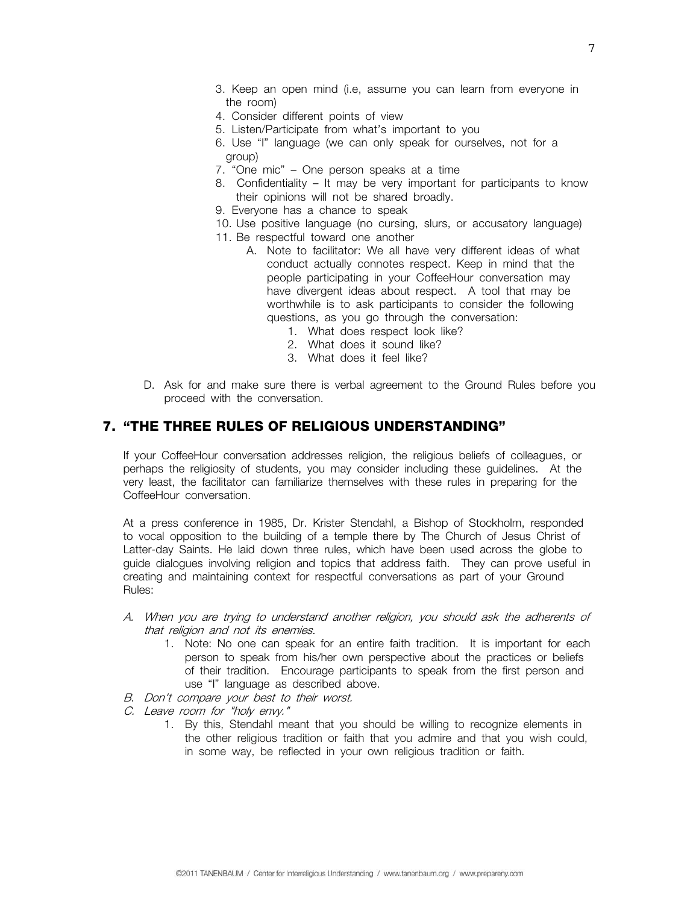- 3. Keep an open mind (i.e, assume you can learn from everyone in the room)
- 4. Consider different points of view
- 5. Listen/Participate from what's important to you
- 6. Use "I" language (we can only speak for ourselves, not for a group)
- 7. "One mic" One person speaks at a time
- 8. Confidentiality It may be very important for participants to know their opinions will not be shared broadly.
- 9. Everyone has a chance to speak
- 10. Use positive language (no cursing, slurs, or accusatory language)
- 11. Be respectful toward one another
	- A. Note to facilitator: We all have very different ideas of what conduct actually connotes respect. Keep in mind that the people participating in your CoffeeHour conversation may have divergent ideas about respect. A tool that may be worthwhile is to ask participants to consider the following questions, as you go through the conversation:
		- 1. What does respect look like?
		- 2. What does it sound like?
		- 3. What does it feel like?
- D. Ask for and make sure there is verbal agreement to the Ground Rules before you proceed with the conversation.

#### **7. "THE THREE RULES OF RELIGIOUS UNDERSTANDING"**

If your CoffeeHour conversation addresses religion, the religious beliefs of colleagues, or perhaps the religiosity of students, you may consider including these guidelines. At the very least, the facilitator can familiarize themselves with these rules in preparing for the CoffeeHour conversation.

At a press conference in 1985, Dr. Krister Stendahl, a Bishop of Stockholm, responded to vocal opposition to the building of a temple there by The Church of Jesus Christ of Latter-day Saints. He laid down three rules, which have been used across the globe to guide dialogues involving religion and topics that address faith. They can prove useful in creating and maintaining context for respectful conversations as part of your Ground Rules:

- A. When you are trying to understand another religion, you should ask the adherents of that religion and not its enemies.
	- 1. Note: No one can speak for an entire faith tradition. It is important for each person to speak from his/her own perspective about the practices or beliefs of their tradition. Encourage participants to speak from the first person and use "I" language as described above.
- B. Don't compare your best to their worst.
- C. Leave room for "holy envy."
	- 1. By this, Stendahl meant that you should be willing to recognize elements in the other religious tradition or faith that you admire and that you wish could, in some way, be reflected in your own religious tradition or faith.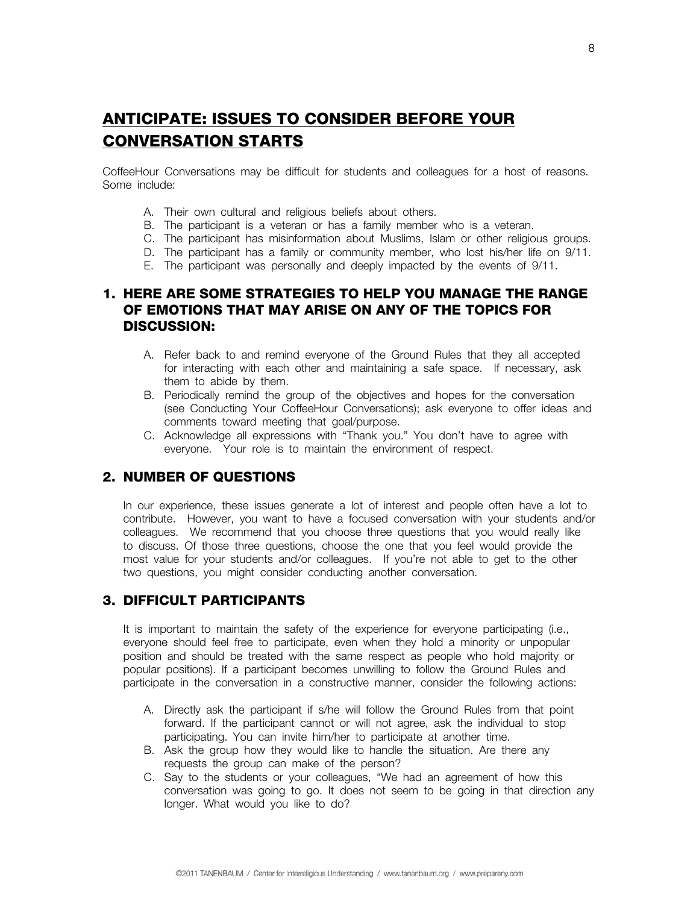# **ANTICIPATE: ISSUES TO CONSIDER BEFORE YOUR CONVERSATION STARTS**

CoffeeHour Conversations may be difficult for students and colleagues for a host of reasons. Some include:

- A. Their own cultural and religious beliefs about others.
- B. The participant is a veteran or has a family member who is a veteran.
- C. The participant has misinformation about Muslims, Islam or other religious groups.
- D. The participant has a family or community member, who lost his/her life on 9/11.
- E. The participant was personally and deeply impacted by the events of 9/11.

#### **1. HERE ARE SOME STRATEGIES TO HELP YOU MANAGE THE RANGE OF EMOTIONS THAT MAY ARISE ON ANY OF THE TOPICS FOR DISCUSSION:**

- A. Refer back to and remind everyone of the Ground Rules that they all accepted for interacting with each other and maintaining a safe space. If necessary, ask them to abide by them.
- B. Periodically remind the group of the objectives and hopes for the conversation (see Conducting Your CoffeeHour Conversations); ask everyone to offer ideas and comments toward meeting that goal/purpose.
- C. Acknowledge all expressions with "Thank you." You don't have to agree with everyone. Your role is to maintain the environment of respect.

#### **2. NUMBER OF QUESTIONS**

In our experience, these issues generate a lot of interest and people often have a lot to contribute. However, you want to have a focused conversation with your students and/or colleagues. We recommend that you choose three questions that you would really like to discuss. Of those three questions, choose the one that you feel would provide the most value for your students and/or colleagues. If you're not able to get to the other two questions, you might consider conducting another conversation.

#### **3. DIFFICULT PARTICIPANTS**

It is important to maintain the safety of the experience for everyone participating (i.e., everyone should feel free to participate, even when they hold a minority or unpopular position and should be treated with the same respect as people who hold majority or popular positions). If a participant becomes unwilling to follow the Ground Rules and participate in the conversation in a constructive manner, consider the following actions:

- A. Directly ask the participant if s/he will follow the Ground Rules from that point forward. If the participant cannot or will not agree, ask the individual to stop participating. You can invite him/her to participate at another time.
- B. Ask the group how they would like to handle the situation. Are there any requests the group can make of the person?
- C. Say to the students or your colleagues, "We had an agreement of how this conversation was going to go. It does not seem to be going in that direction any longer. What would you like to do?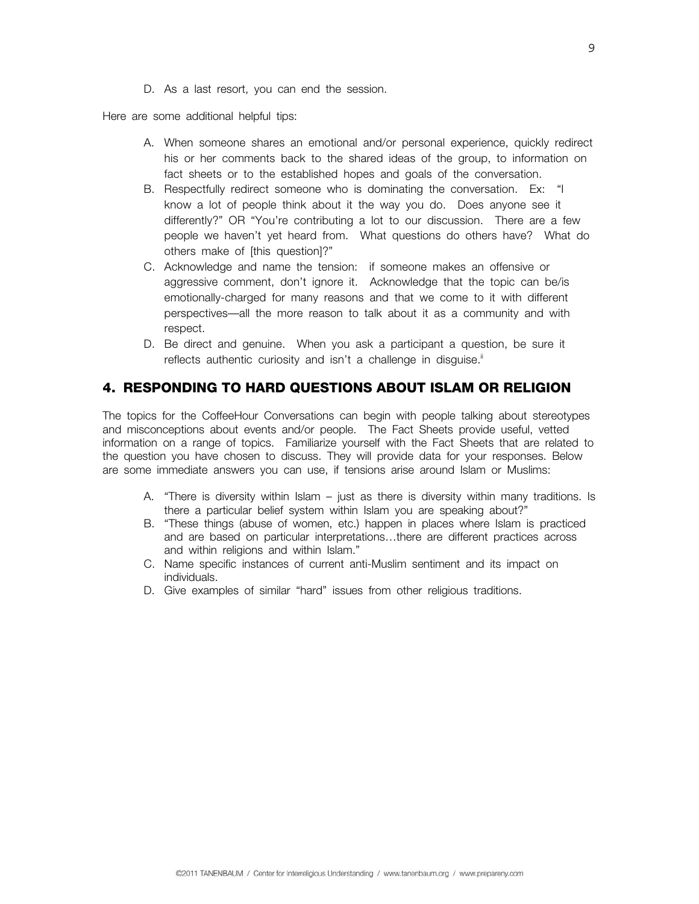D. As a last resort, you can end the session.

Here are some additional helpful tips:

- A. When someone shares an emotional and/or personal experience, quickly redirect his or her comments back to the shared ideas of the group, to information on fact sheets or to the established hopes and goals of the conversation.
- B. Respectfully redirect someone who is dominating the conversation. Ex: "I know a lot of people think about it the way you do. Does anyone see it differently?" OR "You're contributing a lot to our discussion. There are a few people we haven't yet heard from. What questions do others have? What do others make of [this question]?"
- C. Acknowledge and name the tension: if someone makes an offensive or aggressive comment, don't ignore it. Acknowledge that the topic can be/is emotionally-charged for many reasons and that we come to it with different perspectives—all the more reason to talk about it as a community and with respect.
- D. Be direct and genuine. When you ask a participant a question, be sure it reflects authentic curiosity and isn't a challenge in disguise.<sup>ii</sup>

#### **4. RESPONDING TO HARD QUESTIONS ABOUT ISLAM OR RELIGION**

The topics for the CoffeeHour Conversations can begin with people talking about stereotypes and misconceptions about events and/or people. The Fact Sheets provide useful, vetted information on a range of topics. Familiarize yourself with the Fact Sheets that are related to the question you have chosen to discuss. They will provide data for your responses. Below are some immediate answers you can use, if tensions arise around Islam or Muslims:

- A. "There is diversity within Islam just as there is diversity within many traditions. Is there a particular belief system within Islam you are speaking about?"
- B. "These things (abuse of women, etc.) happen in places where Islam is practiced and are based on particular interpretations…there are different practices across and within religions and within Islam."
- C. Name specific instances of current anti-Muslim sentiment and its impact on individuals.
- D. Give examples of similar "hard" issues from other religious traditions.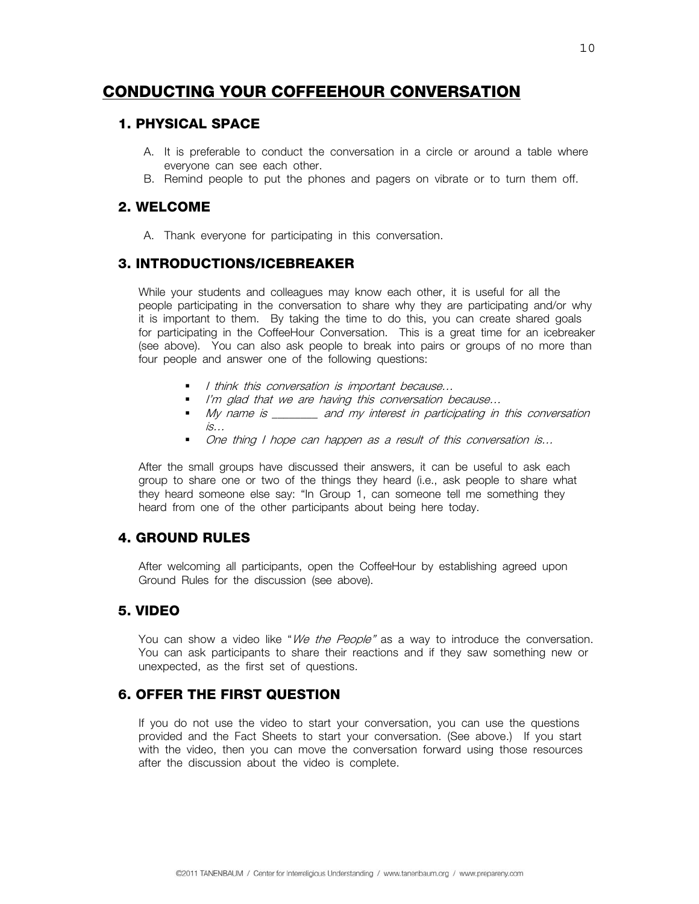# **CONDUCTING YOUR COFFEEHOUR CONVERSATION**

#### **1. PHYSICAL SPACE**

- A. It is preferable to conduct the conversation in a circle or around a table where everyone can see each other.
- B. Remind people to put the phones and pagers on vibrate or to turn them off.

#### **2. WELCOME**

A. Thank everyone for participating in this conversation.

#### **3. INTRODUCTIONS/ICEBREAKER**

While your students and colleagues may know each other, it is useful for all the people participating in the conversation to share why they are participating and/or why it is important to them. By taking the time to do this, you can create shared goals for participating in the CoffeeHour Conversation. This is a great time for an icebreaker (see above). You can also ask people to break into pairs or groups of no more than four people and answer one of the following questions:

- I think this conversation is important because...
- I'm glad that we are having this conversation because...
- My name is \_\_\_\_\_\_\_\_ and my interest in participating in this conversation  $i$ s…
- One thing I hope can happen as a result of this conversation is...

After the small groups have discussed their answers, it can be useful to ask each group to share one or two of the things they heard (i.e., ask people to share what they heard someone else say: "In Group 1, can someone tell me something they heard from one of the other participants about being here today.

#### **4. GROUND RULES**

After welcoming all participants, open the CoffeeHour by establishing agreed upon Ground Rules for the discussion (see above).

#### **5. VIDEO**

You can show a video like "We the People" as a way to introduce the conversation. You can ask participants to share their reactions and if they saw something new or unexpected, as the first set of questions.

#### **6. OFFER THE FIRST QUESTION**

If you do not use the video to start your conversation, you can use the questions provided and the Fact Sheets to start your conversation. (See above.) If you start with the video, then you can move the conversation forward using those resources after the discussion about the video is complete.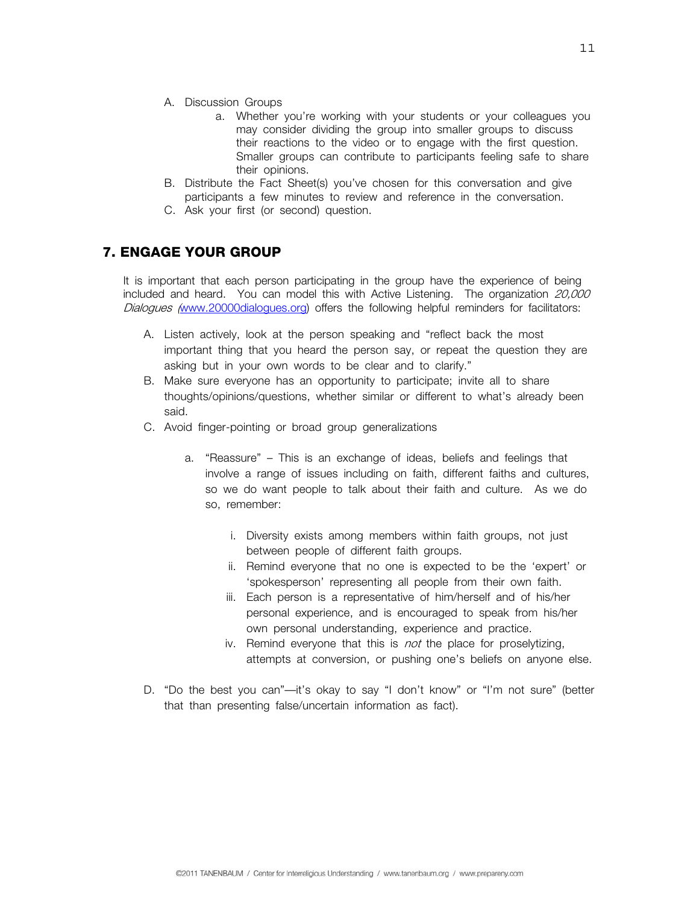- A. Discussion Groups
	- a. Whether you're working with your students or your colleagues you may consider dividing the group into smaller groups to discuss their reactions to the video or to engage with the first question. Smaller groups can contribute to participants feeling safe to share their opinions.
- B. Distribute the Fact Sheet(s) you've chosen for this conversation and give participants a few minutes to review and reference in the conversation.
- C. Ask your first (or second) question.

#### **7. ENGAGE YOUR GROUP**

It is important that each person participating in the group have the experience of being included and heard. You can model this with Active Listening. The organization 20,000 Dialogues (www.20000dialogues.org) offers the following helpful reminders for facilitators:

- A. Listen actively, look at the person speaking and "reflect back the most important thing that you heard the person say, or repeat the question they are asking but in your own words to be clear and to clarify."
- B. Make sure everyone has an opportunity to participate; invite all to share thoughts/opinions/questions, whether similar or different to what's already been said.
- C. Avoid finger-pointing or broad group generalizations
	- a. "Reassure" This is an exchange of ideas, beliefs and feelings that involve a range of issues including on faith, different faiths and cultures, so we do want people to talk about their faith and culture. As we do so, remember:
		- i. Diversity exists among members within faith groups, not just between people of different faith groups.
		- ii. Remind everyone that no one is expected to be the 'expert' or 'spokesperson' representing all people from their own faith.
		- iii. Each person is a representative of him/herself and of his/her personal experience, and is encouraged to speak from his/her own personal understanding, experience and practice.
		- iv. Remind everyone that this is *not* the place for proselytizing, attempts at conversion, or pushing one's beliefs on anyone else.
- D. "Do the best you can"—it's okay to say "I don't know" or "I'm not sure" (better that than presenting false/uncertain information as fact).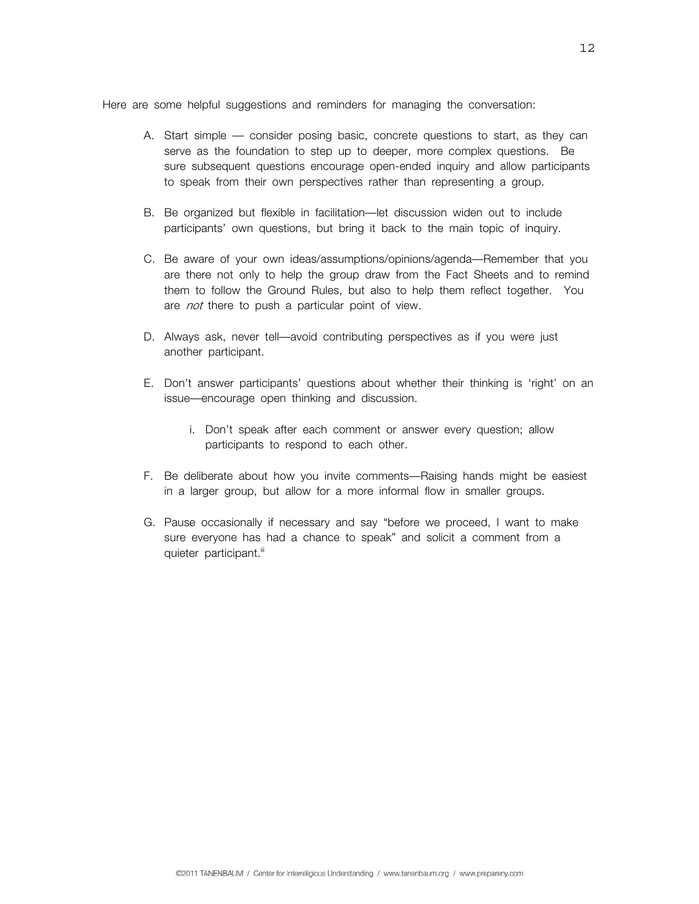Here are some helpful suggestions and reminders for managing the conversation:

- A. Start simple consider posing basic, concrete questions to start, as they can serve as the foundation to step up to deeper, more complex questions. Be sure subsequent questions encourage open-ended inquiry and allow participants to speak from their own perspectives rather than representing a group.
- B. Be organized but flexible in facilitation—let discussion widen out to include participants' own questions, but bring it back to the main topic of inquiry.
- C. Be aware of your own ideas/assumptions/opinions/agenda—Remember that you are there not only to help the group draw from the Fact Sheets and to remind them to follow the Ground Rules, but also to help them reflect together. You are not there to push a particular point of view.
- D. Always ask, never tell—avoid contributing perspectives as if you were just another participant.
- E. Don't answer participants' questions about whether their thinking is 'right' on an issue—encourage open thinking and discussion.
	- i. Don't speak after each comment or answer every question; allow participants to respond to each other.
- F. Be deliberate about how you invite comments—Raising hands might be easiest in a larger group, but allow for a more informal flow in smaller groups.
- G. Pause occasionally if necessary and say "before we proceed, I want to make sure everyone has had a chance to speak" and solicit a comment from a quieter participant.<sup>iii</sup>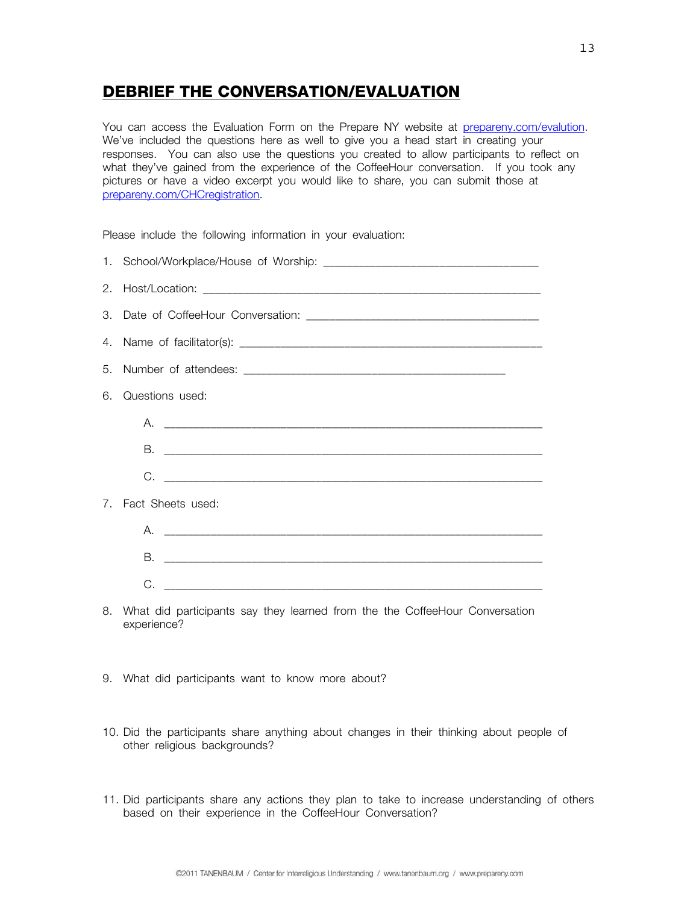## **DEBRIEF THE CONVERSATION/EVALUATION**

You can access the Evaluation Form on the Prepare NY website at prepareny.com/evalution. We've included the questions here as well to give you a head start in creating your responses. You can also use the questions you created to allow participants to reflect on what they've gained from the experience of the CoffeeHour conversation. If you took any pictures or have a video excerpt you would like to share, you can submit those at prepareny.com/CHCregistration.

Please include the following information in your evaluation:

|  | 1. School/Workplace/House of Worship: |  |  |
|--|---------------------------------------|--|--|
|--|---------------------------------------|--|--|

2. Host/Location: \_\_\_\_\_\_\_\_\_\_\_\_\_\_\_\_\_\_\_\_\_\_\_\_\_\_\_\_\_\_\_\_\_\_\_\_\_\_\_\_\_\_\_\_\_\_\_\_\_\_\_\_\_\_\_\_\_\_

- 3. Date of CoffeeHour Conversation:  $\overline{\phantom{a}}$
- 4. Name of facilitator(s): \_\_\_\_\_\_\_\_\_\_\_\_\_\_\_\_\_\_\_\_\_\_\_\_\_\_\_\_\_\_\_\_\_\_\_\_\_\_\_\_\_\_\_\_\_\_\_\_\_\_\_\_
- 5. Number of attendees:
- 6. Questions used:
	- A. \_\_\_\_\_\_\_\_\_\_\_\_\_\_\_\_\_\_\_\_\_\_\_\_\_\_\_\_\_\_\_\_\_\_\_\_\_\_\_\_\_\_\_\_\_\_\_\_\_\_\_\_\_\_\_\_\_\_\_\_\_\_\_\_\_ B. \_\_\_\_\_\_\_\_\_\_\_\_\_\_\_\_\_\_\_\_\_\_\_\_\_\_\_\_\_\_\_\_\_\_\_\_\_\_\_\_\_\_\_\_\_\_\_\_\_\_\_\_\_\_\_\_\_\_\_\_\_\_\_\_\_ C. \_\_\_\_\_\_\_\_\_\_\_\_\_\_\_\_\_\_\_\_\_\_\_\_\_\_\_\_\_\_\_\_\_\_\_\_\_\_\_\_\_\_\_\_\_\_\_\_\_\_\_\_\_\_\_\_\_\_\_\_\_\_\_\_\_
- 7. Fact Sheets used:
	- A. \_\_\_\_\_\_\_\_\_\_\_\_\_\_\_\_\_\_\_\_\_\_\_\_\_\_\_\_\_\_\_\_\_\_\_\_\_\_\_\_\_\_\_\_\_\_\_\_\_\_\_\_\_\_\_\_\_\_\_\_\_\_\_\_\_ B. \_\_\_\_\_\_\_\_\_\_\_\_\_\_\_\_\_\_\_\_\_\_\_\_\_\_\_\_\_\_\_\_\_\_\_\_\_\_\_\_\_\_\_\_\_\_\_\_\_\_\_\_\_\_\_\_\_\_\_\_\_\_\_\_\_  $C.$
- 8. What did participants say they learned from the the CoffeeHour Conversation experience?
- 9. What did participants want to know more about?
- 10. Did the participants share anything about changes in their thinking about people of other religious backgrounds?
- 11. Did participants share any actions they plan to take to increase understanding of others based on their experience in the CoffeeHour Conversation?